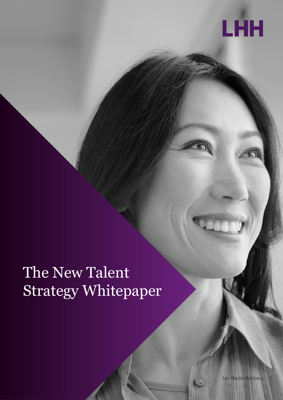

## The New Talent Strategy Whitepaper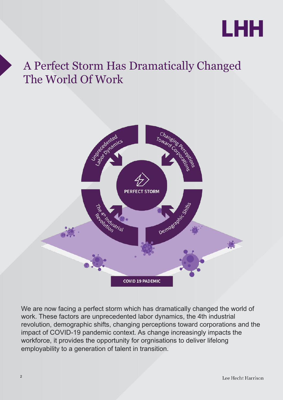

#### A Perfect Storm Has Dramatically Changed The World Of Work



We are now facing a perfect storm which has dramatically changed the world of work. These factors are unprecedented labor dynamics, the 4th industrial revolution, demographic shifts, changing perceptions toward corporations and the impact of COVID-19 pandemic context. As change increasingly impacts the workforce, it provides the opportunity for orgnisations to deliver lifelong employability to a generation of talent in transition.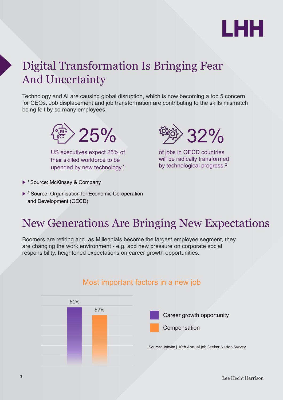

#### Digital Transformation Is Bringing Fear And Uncertainty

Technology and AI are causing global disruption, which is now becoming a top 5 concern for CEOs. Job displacement and job transformation are contributing to the skills mismatch being felt by so many employees.



US executives expect 25% of their skilled workforce to be upended by new technology.<sup>1</sup>

32%

of jobs in OECD countries will be radically transformed by technological progress.<sup>2</sup>

- ▶ <sup>1</sup> Source: McKinsey & Company
- ▶ <sup>2</sup> Source: Organisation for Economic Co-operation and Development (OECD)

#### New Generations Are Bringing New Expectations

Boomers are retiring and, as Millennials become the largest employee segment, they are changing the work environment - e.g. add new pressure on corporate social responsibility, heightened expectations on career growth opportunities.



#### Most important factors in a new job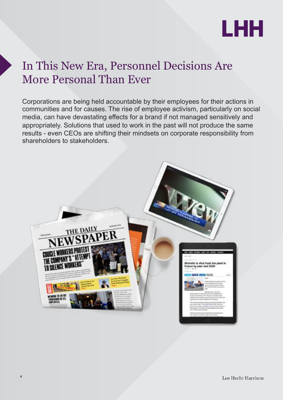

#### In This New Era, Personnel Decisions Are More Personal Than Ever

Corporations are being held accountable by their employees for their actions in communities and for causes. The rise of employee activism, particularly on social media, can have devastating effects for a brand if not managed sensitively and appropriately. Solutions that used to work in the past will not produce the same results - even CEOs are shifting their mindsets on corporate responsibility from shareholders to stakeholders.



4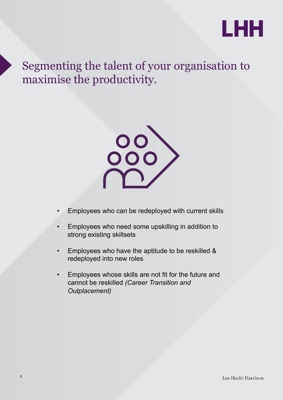

Segmenting the talent of your organisation to maximise the productivity.



- Employees who can be redeployed with current skills
- Employees who need some upskilling in addition to strong existing skillsets
- Employees who have the aptitude to be reskilled & redeployed into new roles
- Employees whose skills are not fit for the future and cannot be reskilled *(Career Transition and Outplacement)*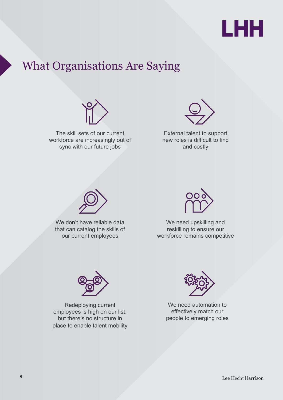

#### What Organisations Are Saying



The skill sets of our current workforce are increasingly out of sync with our future jobs



External talent to support new roles is difficult to find and costly



We don't have reliable data that can catalog the skills of our current employees



We need upskilling and reskilling to ensure our workforce remains competitive



Redeploying current employees is high on our list, but there's no structure in place to enable talent mobility



We need automation to effectively match our people to emerging roles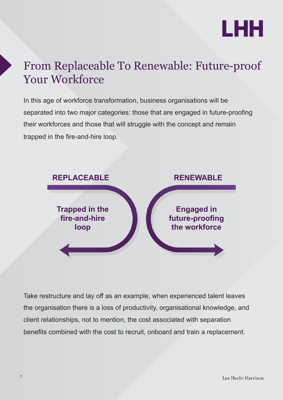

#### From Replaceable To Renewable: Future-proof Your Workforce

In this age of workforce transformation, business organisations will be separated into two major categories: those that are engaged in future-proofing their workforces and those that will struggle with the concept and remain trapped in the fire-and-hire loop.



Take restructure and lay off as an example, when experienced talent leaves the organisation there is a loss of productivity, organisational knowledge, and client relationships, not to mention, the cost associated with separation benefits combined with the cost to recruit, onboard and train a replacement.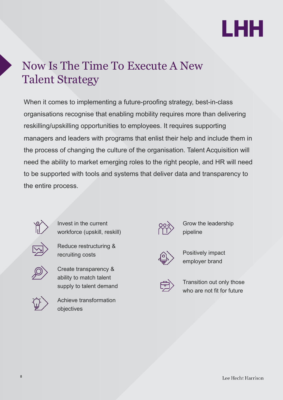

#### Now Is The Time To Execute A New Talent Strategy

When it comes to implementing a future-proofing strategy, best-in-class organisations recognise that enabling mobility requires more than delivering reskilling/upskilling opportunities to employees. It requires supporting managers and leaders with programs that enlist their help and include them in the process of changing the culture of the organisation. Talent Acquisition will need the ability to market emerging roles to the right people, and HR will need to be supported with tools and systems that deliver data and transparency to the entire process.



Invest in the current workforce (upskill, reskill)



Reduce restructuring & recruiting costs



Create transparency & ability to match talent supply to talent demand



Achieve transformation objectives



Grow the leadership pipeline



Positively impact employer brand



Transition out only those who are not fit for future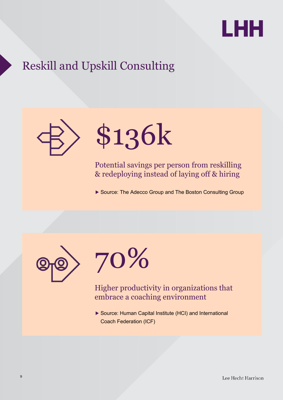

#### Reskill and Upskill Consulting



# \$136k

Potential savings per person from reskilling & redeploying instead of laying off & hiring

▶ Source: The Adecco Group and The Boston Consulting Group





Higher productivity in organizations that embrace a coaching environment

▶ Source: Human Capital Institute (HCI) and International Coach Federation (ICF)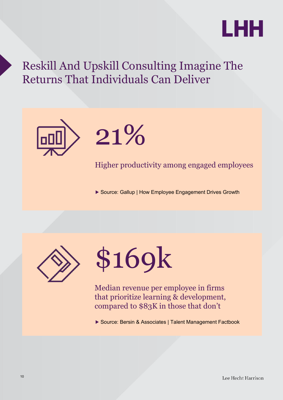

#### Reskill And Upskill Consulting Imagine The Returns That Individuals Can Deliver



# 21%

Higher productivity among engaged employees

▶ Source: Gallup | How Employee Engagement Drives Growth





Median revenue per employee in firms that prioritize learning & development, compared to \$83K in those that don't

▶ Source: Bersin & Associates | Talent Management Factbook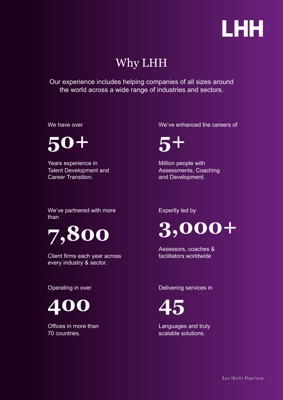

#### Why LHH

Our experience includes helping companies of all sizes around the world across a wide range of industries and sectors.

We have over

**50+**

Years experience in Talent Development and Career Transition.

We've enhanced the careers of

**5+** 

Million people with Assessments, Coaching and Development.

We've partnered with more than



Client firms each year across every industry & sector.

Operating in over



Offices in more than 70 countries.

Expertly led by



Assessors, coaches & facilitators worldwide

Delivering services in



Languages and truly scalable solutions.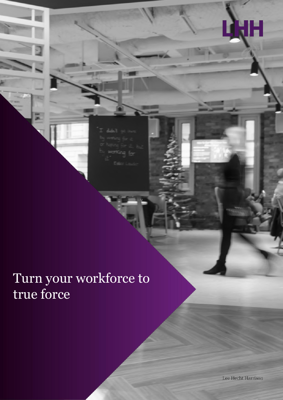v

### Turn your workforce to true force

Lee Hecht Harrison